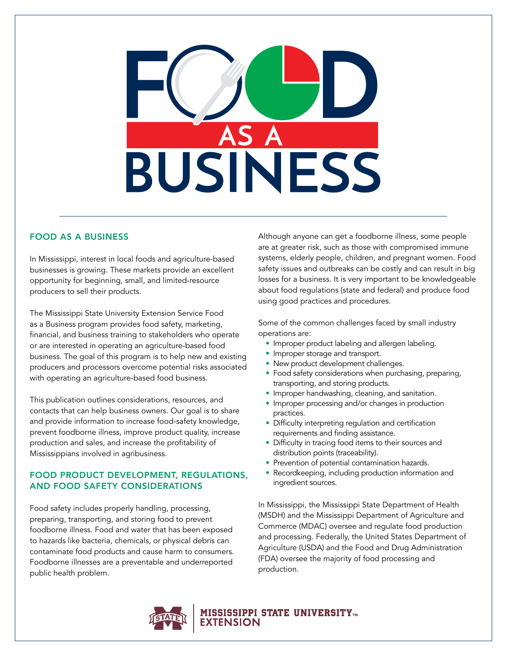

# FOOD AS A BUSINESS

In Mississippi, interest in local foods and agriculture-based businesses is growing. These markets provide an excellent opportunity for beginning, small, and limited-resource producers to sell their products.

The Mississippi State University Extension Service Food as a Business program provides food safety, marketing, financial, and business training to stakeholders who operate or are interested in operating an agriculture-based food business. The goal of this program is to help new and existing producers and processors overcome potential risks associated with operating an agriculture-based food business.

This publication outlines considerations, resources, and contacts that can help business owners. Our goal is to share and provide information to increase food-safety knowledge, prevent foodborne illness, improve product quality, increase production and sales, and increase the profitability of Mississippians involved in agribusiness.

# FOOD PRODUCT DEVELOPMENT, REGULATIONS, AND FOOD SAFETY CONSIDERATIONS

Food safety includes properly handling, processing, preparing, transporting, and storing food to prevent foodborne illness. Food and water that has been exposed to hazards like bacteria, chemicals, or physical debris can contaminate food products and cause harm to consumers. Foodborne illnesses are a preventable and underreported public health problem.

Although anyone can get a foodborne illness, some people are at greater risk, such as those with compromised immune systems, elderly people, children, and pregnant women. Food safety issues and outbreaks can be costly and can result in big losses for a business. It is very important to be knowledgeable about food regulations (state and federal) and produce food using good practices and procedures.

Some of the common challenges faced by small industry operations are:

- Improper product labeling and allergen labeling.
- Improper storage and transport.
- New product development challenges.
- Food safety considerations when purchasing, preparing, transporting, and storing products.
- Improper handwashing, cleaning, and sanitation.
- Improper processing and/or changes in production practices.
- Difficulty interpreting regulation and certification requirements and finding assistance.
- Difficulty in tracing food items to their sources and distribution points (traceability).
- Prevention of potential contamination hazards.
- Recordkeeping, including production information and ingredient sources.

In Mississippi, the Mississippi State Department of Health (MSDH) and the Mississippi Department of Agriculture and Commerce (MDAC) oversee and regulate food production and processing. Federally, the United States Department of Agriculture (USDA) and the Food and Drug Administration (FDA) oversee the majority of food processing and production.



# **MISSISSIPPI STATE UNIVERSITY<del>m</del>**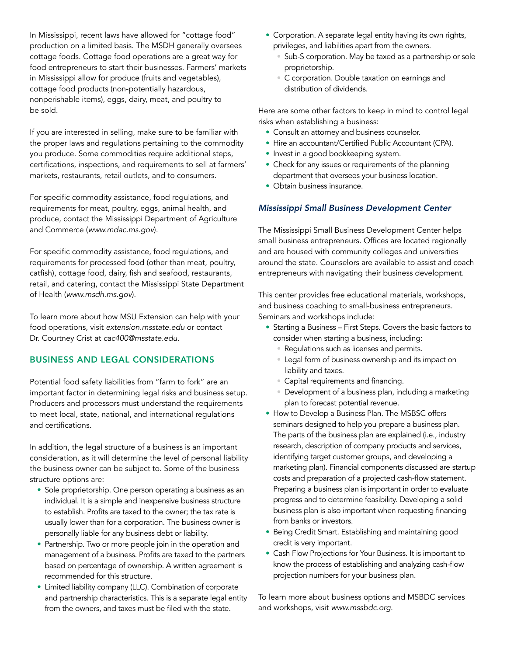In Mississippi, recent laws have allowed for "cottage food" production on a limited basis. The MSDH generally oversees cottage foods. Cottage food operations are a great way for food entrepreneurs to start their businesses. Farmers' markets in Mississippi allow for produce (fruits and vegetables), cottage food products (non-potentially hazardous, nonperishable items), eggs, dairy, meat, and poultry to be sold.

If you are interested in selling, make sure to be familiar with the proper laws and regulations pertaining to the commodity you produce. Some commodities require additional steps, certifications, inspections, and requirements to sell at farmers' markets, restaurants, retail outlets, and to consumers.

For specific commodity assistance, food regulations, and requirements for meat, poultry, eggs, animal health, and produce, contact the Mississippi Department of Agriculture and Commerce (*[www.mdac.ms.gov](http://www.mdac.ms.gov)*).

For specific commodity assistance, food regulations, and requirements for processed food (other than meat, poultry, catfish), cottage food, dairy, fish and seafood, restaurants, retail, and catering, contact the Mississippi State Department of Health (*[www.msdh.ms.gov](http://www.msdh.ms.gov)*).

To learn more about how MSU Extension can help with your food operations, visit *[extension.msstate.edu](http://extension.msstate.edu)* or contact Dr. Courtney Crist at *[cac400@msstate.edu](mailto:cac400%40msstate.edu?subject=)*.

# BUSINESS AND LEGAL CONSIDERATIONS

Potential food safety liabilities from "farm to fork" are an important factor in determining legal risks and business setup. Producers and processors must understand the requirements to meet local, state, national, and international regulations and certifications.

In addition, the legal structure of a business is an important consideration, as it will determine the level of personal liability the business owner can be subject to. Some of the business structure options are:

- Sole proprietorship. One person operating a business as an individual. It is a simple and inexpensive business structure to establish. Profits are taxed to the owner; the tax rate is usually lower than for a corporation. The business owner is personally liable for any business debt or liability.
- Partnership. Two or more people join in the operation and management of a business. Profits are taxed to the partners based on percentage of ownership. A written agreement is recommended for this structure.
- Limited liability company (LLC). Combination of corporate and partnership characteristics. This is a separate legal entity from the owners, and taxes must be filed with the state.
- Corporation. A separate legal entity having its own rights, privileges, and liabilities apart from the owners.
	- Sub-S corporation. May be taxed as a partnership or sole proprietorship.
	- C corporation. Double taxation on earnings and distribution of dividends.

Here are some other factors to keep in mind to control legal risks when establishing a business:

- Consult an attorney and business counselor.
- Hire an accountant/Certified Public Accountant (CPA).
- Invest in a good bookkeeping system.
- Check for any issues or requirements of the planning department that oversees your business location.
- Obtain business insurance.

# *Mississippi Small Business Development Center*

The Mississippi Small Business Development Center helps small business entrepreneurs. Offices are located regionally and are housed with community colleges and universities around the state. Counselors are available to assist and coach entrepreneurs with navigating their business development.

This center provides free educational materials, workshops, and business coaching to small-business entrepreneurs. Seminars and workshops include:

- Starting a Business First Steps. Covers the basic factors to consider when starting a business, including:
	- Regulations such as licenses and permits.
	- Legal form of business ownership and its impact on liability and taxes.
	- Capital requirements and financing.
	- Development of a business plan, including a marketing plan to forecast potential revenue.
- How to Develop a Business Plan. The MSBSC offers seminars designed to help you prepare a business plan. The parts of the business plan are explained (i.e., industry research, description of company products and services, identifying target customer groups, and developing a marketing plan). Financial components discussed are startup costs and preparation of a projected cash-flow statement. Preparing a business plan is important in order to evaluate progress and to determine feasibility. Developing a solid business plan is also important when requesting financing from banks or investors.
- Being Credit Smart. Establishing and maintaining good credit is very important.
- Cash Flow Projections for Your Business. It is important to know the process of establishing and analyzing cash-flow projection numbers for your business plan.

To learn more about business options and MSBDC services and workshops, visit *[www.mssbdc.org](http://www.mssbdc.org)*.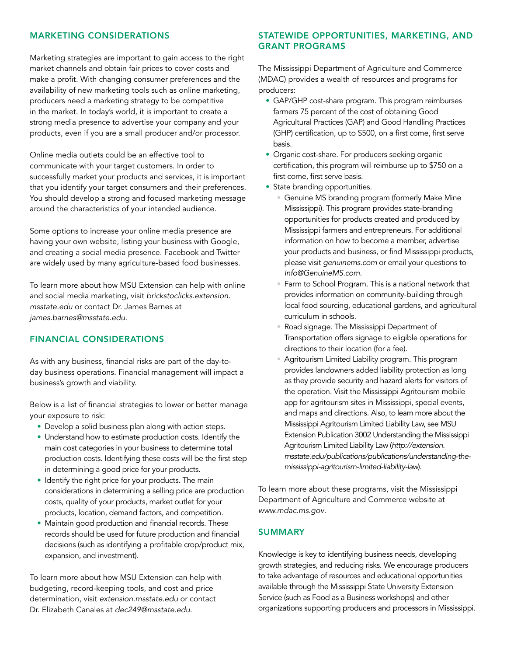## MARKETING CONSIDERATIONS

Marketing strategies are important to gain access to the right market channels and obtain fair prices to cover costs and make a profit. With changing consumer preferences and the availability of new marketing tools such as online marketing, producers need a marketing strategy to be competitive in the market. In today's world, it is important to create a strong media presence to advertise your company and your products, even if you are a small producer and/or processor.

Online media outlets could be an effective tool to communicate with your target customers. In order to successfully market your products and services, it is important that you identify your target consumers and their preferences. You should develop a strong and focused marketing message around the characteristics of your intended audience.

Some options to increase your online media presence are having your own website, listing your business with Google, and creating a social media presence. Facebook and Twitter are widely used by many agriculture-based food businesses.

To learn more about how MSU Extension can help with online and social media marketing, visit *[brickstoclicks.extension.](https://brickstoclicks.extension.msstate.edu/) [msstate.edu](https://brickstoclicks.extension.msstate.edu/)* or contact Dr. James Barnes at *[james.barnes@msstate.edu](mailto:mailto:james.barnes%40msstate.edu?subject=)*.

# FINANCIAL CONSIDERATIONS

As with any business, financial risks are part of the day-today business operations. Financial management will impact a business's growth and viability.

Below is a list of financial strategies to lower or better manage your exposure to risk:

- Develop a solid business plan along with action steps.
- Understand how to estimate production costs. Identify the main cost categories in your business to determine total production costs. Identifying these costs will be the first step in determining a good price for your products.
- Identify the right price for your products. The main considerations in determining a selling price are production costs, quality of your products, market outlet for your products, location, demand factors, and competition.
- Maintain good production and financial records. These records should be used for future production and financial decisions (such as identifying a profitable crop/product mix, expansion, and investment).

To learn more about how MSU Extension can help with budgeting, record-keeping tools, and cost and price determination, visit *[extension.msstate.edu](http://extension.msstate.edu/)* or contact Dr. Elizabeth Canales at *[dec249@msstate.edu](mailto:mailto:dec249%40msstate.edu?subject=)*.

## STATEWIDE OPPORTUNITIES, MARKETING, AND GRANT PROGRAMS

The Mississippi Department of Agriculture and Commerce (MDAC) provides a wealth of resources and programs for producers:

- GAP/GHP cost-share program. This program reimburses farmers 75 percent of the cost of obtaining Good Agricultural Practices (GAP) and Good Handling Practices (GHP) certification, up to \$500, on a first come, first serve basis.
- Organic cost-share. For producers seeking organic certification, this program will reimburse up to \$750 on a first come, first serve basis.
- State branding opportunities.
	- Genuine MS branding program (formerly Make Mine Mississippi). This program provides state-branding opportunities for products created and produced by Mississippi farmers and entrepreneurs. For additional information on how to become a member, advertise your products and business, or find Mississippi products, please visit *[genuinems.com](https://genuinems.com/)* or email your questions to *[Info@GenuineMS.com](mailto:mailto:info%40genuinems.com?subject=)*.
	- Farm to School Program. This is a national network that provides information on community-building through local food sourcing, educational gardens, and agricultural curriculum in schools.
	- Road signage. The Mississippi Department of Transportation offers signage to eligible operations for directions to their location (for a fee).
	- Agritourism Limited Liability program. This program provides landowners added liability protection as long as they provide security and hazard alerts for visitors of the operation. Visit the Mississippi Agritourism mobile app for agritourism sites in Mississippi, special events, and maps and directions. Also, to learn more about the Mississippi Agritourism Limited Liability Law, see [MSU](http://extension.msstate.edu/publications/publications/understanding-the-mississippi-agritourism-limited-liability-law)  [Extension Publication 3002 Understanding the Mississippi](http://extension.msstate.edu/publications/publications/understanding-the-mississippi-agritourism-limited-liability-law)  [Agritourism Limited Liability Law](http://extension.msstate.edu/publications/publications/understanding-the-mississippi-agritourism-limited-liability-law) (*[http://extension.](http://extension.msstate.edu/publications/publications/understanding-the-mississippi-agritourism-limited-liability-law) [msstate.edu/publications/publications/understanding-the](http://extension.msstate.edu/publications/publications/understanding-the-mississippi-agritourism-limited-liability-law)[mississippi-agritourism-limited-liability-law](http://extension.msstate.edu/publications/publications/understanding-the-mississippi-agritourism-limited-liability-law)*).

To learn more about these programs, visit the Mississippi Department of Agriculture and Commerce website at *[www.mdac.ms.gov](http://www.mdac.ms.gov)*.

# SUMMARY

Knowledge is key to identifying business needs, developing growth strategies, and reducing risks. We encourage producers to take advantage of resources and educational opportunities available through the Mississippi State University Extension Service (such as Food as a Business workshops) and other organizations supporting producers and processors in Mississippi.